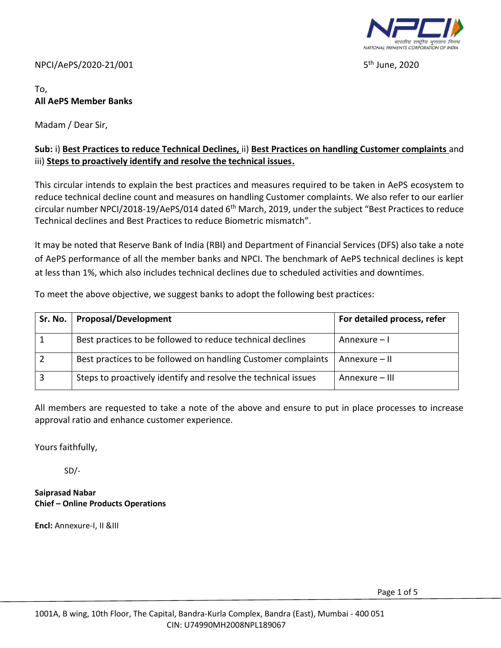

 $5<sup>th</sup>$  June, 2020

#### NPCI/AePS/2020-21/001 5

# To, **All AePS Member Banks**

Madam / Dear Sir,

## **Sub:** i) **Best Practices to reduce Technical Declines,** ii) **Best Practices on handling Customer complaints** and iii) **Steps to proactively identify and resolve the technical issues.**

This circular intends to explain the best practices and measures required to be taken in AePS ecosystem to reduce technical decline count and measures on handling Customer complaints. We also refer to our earlier circular number NPCI/2018-19/AePS/014 dated 6<sup>th</sup> March, 2019, under the subject "Best Practices to reduce Technical declines and Best Practices to reduce Biometric mismatch".

It may be noted that Reserve Bank of India (RBI) and Department of Financial Services (DFS) also take a note of AePS performance of all the member banks and NPCI. The benchmark of AePS technical declines is kept at less than 1%, which also includes technical declines due to scheduled activities and downtimes.

To meet the above objective, we suggest banks to adopt the following best practices:

| Sr. No. | Proposal/Development                                           | For detailed process, refer |
|---------|----------------------------------------------------------------|-----------------------------|
|         | Best practices to be followed to reduce technical declines     | Annexure – I                |
|         | Best practices to be followed on handling Customer complaints  | Annexure - II               |
|         | Steps to proactively identify and resolve the technical issues | Annexure – III              |

All members are requested to take a note of the above and ensure to put in place processes to increase approval ratio and enhance customer experience.

Yours faithfully,

SD/-

**Saiprasad Nabar Chief – Online Products Operations**

**Encl:** Annexure-I, II &III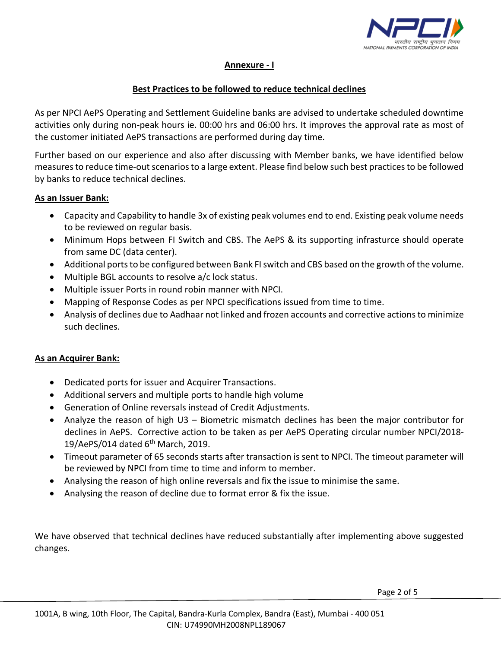

### **Annexure - I**

#### **Best Practices to be followed to reduce technical declines**

As per NPCI AePS Operating and Settlement Guideline banks are advised to undertake scheduled downtime activities only during non-peak hours ie. 00:00 hrs and 06:00 hrs. It improves the approval rate as most of the customer initiated AePS transactions are performed during day time.

Further based on our experience and also after discussing with Member banks, we have identified below measures to reduce time-out scenarios to a large extent. Please find below such best practices to be followed by banks to reduce technical declines.

#### **As an Issuer Bank:**

- Capacity and Capability to handle 3x of existing peak volumes end to end. Existing peak volume needs to be reviewed on regular basis.
- Minimum Hops between FI Switch and CBS. The AePS & its supporting infrasturce should operate from same DC (data center).
- Additional ports to be configured between Bank FI switch and CBS based on the growth of the volume.
- Multiple BGL accounts to resolve a/c lock status.
- Multiple issuer Ports in round robin manner with NPCI.
- Mapping of Response Codes as per NPCI specifications issued from time to time.
- Analysis of declines due to Aadhaar not linked and frozen accounts and corrective actions to minimize such declines.

### **As an Acquirer Bank:**

- Dedicated ports for issuer and Acquirer Transactions.
- Additional servers and multiple ports to handle high volume
- Generation of Online reversals instead of Credit Adjustments.
- Analyze the reason of high U3 Biometric mismatch declines has been the major contributor for declines in AePS. Corrective action to be taken as per AePS Operating circular number NPCI/2018- 19/AePS/014 dated  $6<sup>th</sup>$  March, 2019.
- Timeout parameter of 65 seconds starts after transaction is sent to NPCI. The timeout parameter will be reviewed by NPCI from time to time and inform to member.
- Analysing the reason of high online reversals and fix the issue to minimise the same.
- Analysing the reason of decline due to format error & fix the issue.

We have observed that technical declines have reduced substantially after implementing above suggested changes.

Page 2 of 5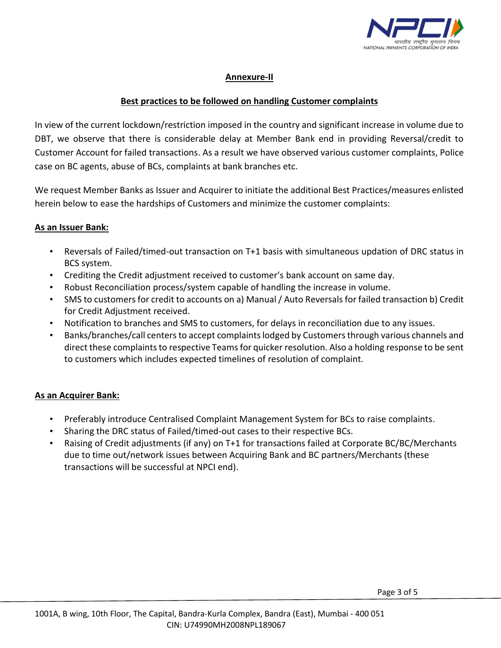

## **Annexure-II**

## **Best practices to be followed on handling Customer complaints**

In view of the current lockdown/restriction imposed in the country and significant increase in volume due to DBT, we observe that there is considerable delay at Member Bank end in providing Reversal/credit to Customer Account for failed transactions. As a result we have observed various customer complaints, Police case on BC agents, abuse of BCs, complaints at bank branches etc.

We request Member Banks as Issuer and Acquirer to initiate the additional Best Practices/measures enlisted herein below to ease the hardships of Customers and minimize the customer complaints:

#### **As an Issuer Bank:**

- Reversals of Failed/timed-out transaction on T+1 basis with simultaneous updation of DRC status in BCS system.
- Crediting the Credit adjustment received to customer's bank account on same day.
- Robust Reconciliation process/system capable of handling the increase in volume.
- SMS to customers for credit to accounts on a) Manual / Auto Reversals for failed transaction b) Credit for Credit Adjustment received.
- Notification to branches and SMS to customers, for delays in reconciliation due to any issues.
- Banks/branches/call centersto accept complaints lodged by Customers through various channels and direct these complaints to respective Teams for quicker resolution. Also a holding response to be sent to customers which includes expected timelines of resolution of complaint.

### **As an Acquirer Bank:**

- Preferably introduce Centralised Complaint Management System for BCs to raise complaints.
- Sharing the DRC status of Failed/timed-out cases to their respective BCs.
- Raising of Credit adjustments (if any) on T+1 for transactions failed at Corporate BC/BC/Merchants due to time out/network issues between Acquiring Bank and BC partners/Merchants (these transactions will be successful at NPCI end).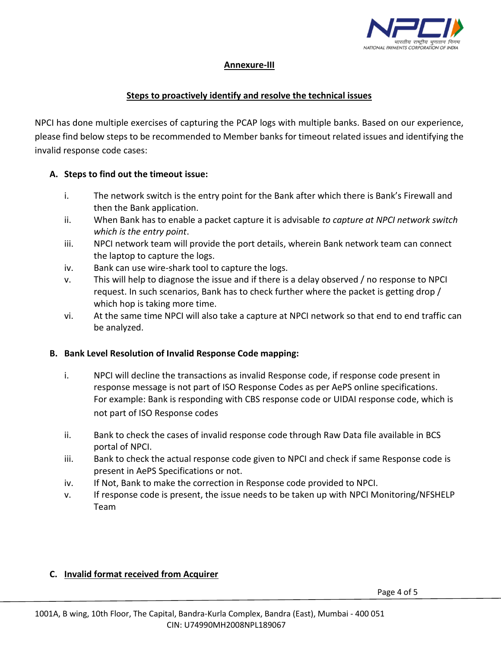

# **Annexure-III**

### **Steps to proactively identify and resolve the technical issues**

NPCI has done multiple exercises of capturing the PCAP logs with multiple banks. Based on our experience, please find below steps to be recommended to Member banks for timeout related issues and identifying the invalid response code cases:

### **A. Steps to find out the timeout issue:**

- i. The network switch is the entry point for the Bank after which there is Bank's Firewall and then the Bank application.
- ii. When Bank has to enable a packet capture it is advisable *to capture at NPCI network switch which is the entry point*.
- iii. NPCI network team will provide the port details, wherein Bank network team can connect the laptop to capture the logs.
- iv. Bank can use wire-shark tool to capture the logs.
- v. This will help to diagnose the issue and if there is a delay observed / no response to NPCI request. In such scenarios, Bank has to check further where the packet is getting drop / which hop is taking more time.
- vi. At the same time NPCI will also take a capture at NPCI network so that end to end traffic can be analyzed.

### **B. Bank Level Resolution of Invalid Response Code mapping:**

- i. NPCI will decline the transactions as invalid Response code, if response code present in response message is not part of ISO Response Codes as per AePS online specifications. For example: Bank is responding with CBS response code or UIDAI response code, which is not part of ISO Response codes
- ii. Bank to check the cases of invalid response code through Raw Data file available in BCS portal of NPCI.
- iii. Bank to check the actual response code given to NPCI and check if same Response code is present in AePS Specifications or not.
- iv. If Not, Bank to make the correction in Response code provided to NPCI.
- v. If response code is present, the issue needs to be taken up with NPCI Monitoring/NFSHELP Team

### **C. Invalid format received from Acquirer**

Page 4 of 5